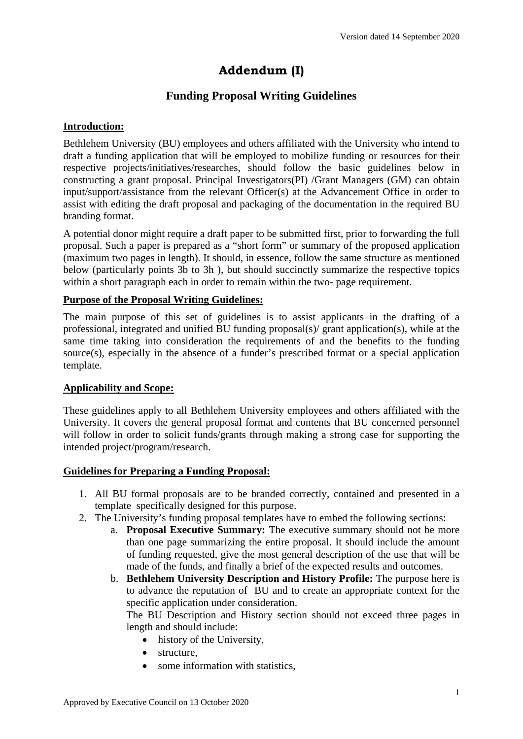# **Addendum (I)**

## **Funding Proposal Writing Guidelines**

### **Introduction:**

Bethlehem University (BU) employees and others affiliated with the University who intend to draft a funding application that will be employed to mobilize funding or resources for their respective projects/initiatives/researches, should follow the basic guidelines below in constructing a grant proposal. Principal Investigators(PI) /Grant Managers (GM) can obtain input/support/assistance from the relevant Officer(s) at the Advancement Office in order to assist with editing the draft proposal and packaging of the documentation in the required BU branding format.

A potential donor might require a draft paper to be submitted first, prior to forwarding the full proposal. Such a paper is prepared as a "short form" or summary of the proposed application (maximum two pages in length). It should, in essence, follow the same structure as mentioned below (particularly points 3b to 3h ), but should succinctly summarize the respective topics within a short paragraph each in order to remain within the two- page requirement.

#### **Purpose of the Proposal Writing Guidelines:**

The main purpose of this set of guidelines is to assist applicants in the drafting of a professional, integrated and unified BU funding proposal(s)/ grant application(s), while at the same time taking into consideration the requirements of and the benefits to the funding source(s), especially in the absence of a funder's prescribed format or a special application template.

#### **Applicability and Scope:**

These guidelines apply to all Bethlehem University employees and others affiliated with the University. It covers the general proposal format and contents that BU concerned personnel will follow in order to solicit funds/grants through making a strong case for supporting the intended project/program/research.

#### **Guidelines for Preparing a Funding Proposal:**

- 1. All BU formal proposals are to be branded correctly, contained and presented in a template specifically designed for this purpose.
- 2. The University's funding proposal templates have to embed the following sections:
	- a. **Proposal Executive Summary:** The executive summary should not be more than one page summarizing the entire proposal. It should include the amount of funding requested, give the most general description of the use that will be made of the funds, and finally a brief of the expected results and outcomes.
	- b. **Bethlehem University Description and History Profile:** The purpose here is to advance the reputation of BU and to create an appropriate context for the specific application under consideration.

The BU Description and History section should not exceed three pages in length and should include:

- history of the University,
- structure,
- some information with statistics,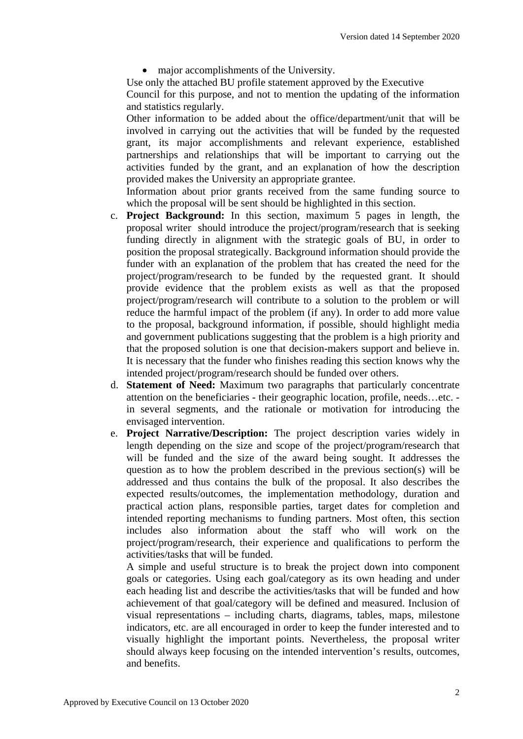• major accomplishments of the University.

Use only the attached BU profile statement approved by the Executive Council for this purpose, and not to mention the updating of the information and statistics regularly.

Other information to be added about the office/department/unit that will be involved in carrying out the activities that will be funded by the requested grant, its major accomplishments and relevant experience, established partnerships and relationships that will be important to carrying out the activities funded by the grant, and an explanation of how the description provided makes the University an appropriate grantee.

Information about prior grants received from the same funding source to which the proposal will be sent should be highlighted in this section.

- c. **Project Background:** In this section, maximum 5 pages in length, the proposal writer should introduce the project/program/research that is seeking funding directly in alignment with the strategic goals of BU, in order to position the proposal strategically. Background information should provide the funder with an explanation of the problem that has created the need for the project/program/research to be funded by the requested grant. It should provide evidence that the problem exists as well as that the proposed project/program/research will contribute to a solution to the problem or will reduce the harmful impact of the problem (if any). In order to add more value to the proposal, background information, if possible, should highlight media and government publications suggesting that the problem is a high priority and that the proposed solution is one that decision-makers support and believe in. It is necessary that the funder who finishes reading this section knows why the intended project/program/research should be funded over others.
- d. **Statement of Need:** Maximum two paragraphs that particularly concentrate attention on the beneficiaries - their geographic location, profile, needs…etc. in several segments, and the rationale or motivation for introducing the envisaged intervention.
- e. **Project Narrative/Description:** The project description varies widely in length depending on the size and scope of the project/program/research that will be funded and the size of the award being sought. It addresses the question as to how the problem described in the previous section(s) will be addressed and thus contains the bulk of the proposal. It also describes the expected results/outcomes, the implementation methodology, duration and practical action plans, responsible parties, target dates for completion and intended reporting mechanisms to funding partners. Most often, this section includes also information about the staff who will work on the project/program/research, their experience and qualifications to perform the activities/tasks that will be funded.

A simple and useful structure is to break the project down into component goals or categories. Using each goal/category as its own heading and under each heading list and describe the activities/tasks that will be funded and how achievement of that goal/category will be defined and measured. Inclusion of visual representations – including charts, diagrams, tables, maps, milestone indicators, etc. are all encouraged in order to keep the funder interested and to visually highlight the important points. Nevertheless, the proposal writer should always keep focusing on the intended intervention's results, outcomes, and benefits.